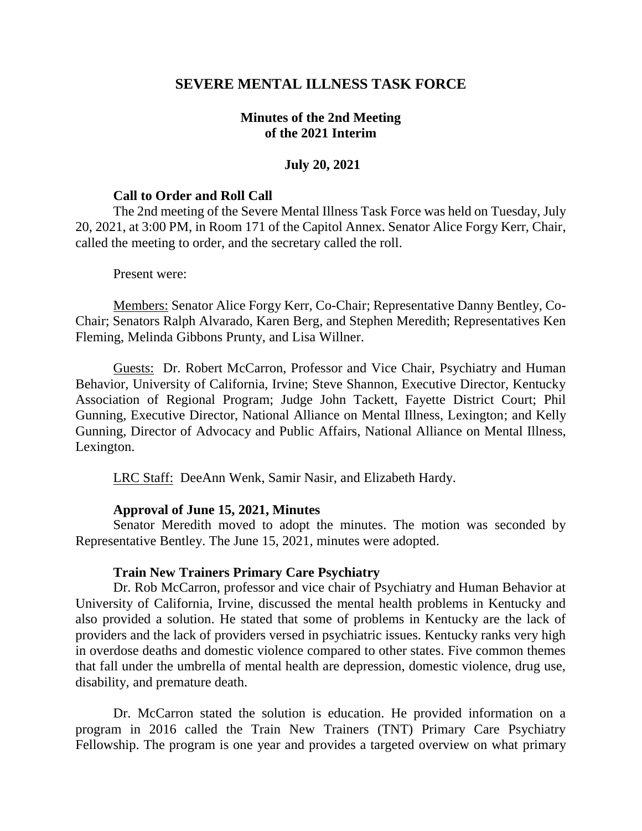# **SEVERE MENTAL ILLNESS TASK FORCE**

# **Minutes of the 2nd Meeting of the 2021 Interim**

## **July 20, 2021**

## **Call to Order and Roll Call**

The 2nd meeting of the Severe Mental Illness Task Force was held on Tuesday, July 20, 2021, at 3:00 PM, in Room 171 of the Capitol Annex. Senator Alice Forgy Kerr, Chair, called the meeting to order, and the secretary called the roll.

#### Present were:

Members: Senator Alice Forgy Kerr, Co-Chair; Representative Danny Bentley, Co-Chair; Senators Ralph Alvarado, Karen Berg, and Stephen Meredith; Representatives Ken Fleming, Melinda Gibbons Prunty, and Lisa Willner.

Guests: Dr. Robert McCarron, Professor and Vice Chair, Psychiatry and Human Behavior, University of California, Irvine; Steve Shannon, Executive Director, Kentucky Association of Regional Program; Judge John Tackett, Fayette District Court; Phil Gunning, Executive Director, National Alliance on Mental Illness, Lexington; and Kelly Gunning, Director of Advocacy and Public Affairs, National Alliance on Mental Illness, Lexington.

LRC Staff: DeeAnn Wenk, Samir Nasir, and Elizabeth Hardy.

## **Approval of June 15, 2021, Minutes**

Senator Meredith moved to adopt the minutes. The motion was seconded by Representative Bentley. The June 15, 2021, minutes were adopted.

## **Train New Trainers Primary Care Psychiatry**

Dr. Rob McCarron, professor and vice chair of Psychiatry and Human Behavior at University of California, Irvine, discussed the mental health problems in Kentucky and also provided a solution. He stated that some of problems in Kentucky are the lack of providers and the lack of providers versed in psychiatric issues. Kentucky ranks very high in overdose deaths and domestic violence compared to other states. Five common themes that fall under the umbrella of mental health are depression, domestic violence, drug use, disability, and premature death.

Dr. McCarron stated the solution is education. He provided information on a program in 2016 called the Train New Trainers (TNT) Primary Care Psychiatry Fellowship. The program is one year and provides a targeted overview on what primary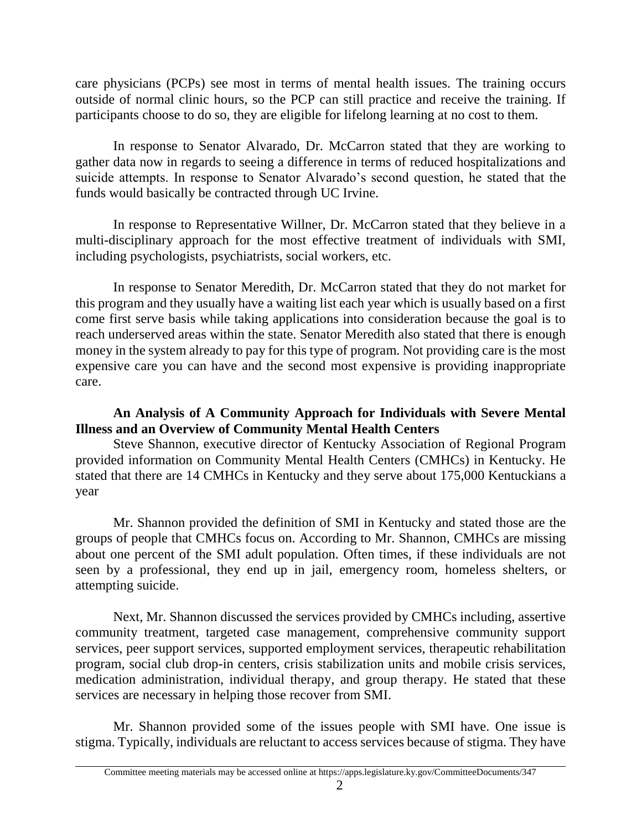care physicians (PCPs) see most in terms of mental health issues. The training occurs outside of normal clinic hours, so the PCP can still practice and receive the training. If participants choose to do so, they are eligible for lifelong learning at no cost to them.

In response to Senator Alvarado, Dr. McCarron stated that they are working to gather data now in regards to seeing a difference in terms of reduced hospitalizations and suicide attempts. In response to Senator Alvarado's second question, he stated that the funds would basically be contracted through UC Irvine.

In response to Representative Willner, Dr. McCarron stated that they believe in a multi-disciplinary approach for the most effective treatment of individuals with SMI, including psychologists, psychiatrists, social workers, etc.

In response to Senator Meredith, Dr. McCarron stated that they do not market for this program and they usually have a waiting list each year which is usually based on a first come first serve basis while taking applications into consideration because the goal is to reach underserved areas within the state. Senator Meredith also stated that there is enough money in the system already to pay for this type of program. Not providing care is the most expensive care you can have and the second most expensive is providing inappropriate care.

# **An Analysis of A Community Approach for Individuals with Severe Mental Illness and an Overview of Community Mental Health Centers**

Steve Shannon, executive director of Kentucky Association of Regional Program provided information on Community Mental Health Centers (CMHCs) in Kentucky. He stated that there are 14 CMHCs in Kentucky and they serve about 175,000 Kentuckians a year

Mr. Shannon provided the definition of SMI in Kentucky and stated those are the groups of people that CMHCs focus on. According to Mr. Shannon, CMHCs are missing about one percent of the SMI adult population. Often times, if these individuals are not seen by a professional, they end up in jail, emergency room, homeless shelters, or attempting suicide.

Next, Mr. Shannon discussed the services provided by CMHCs including, assertive community treatment, targeted case management, comprehensive community support services, peer support services, supported employment services, therapeutic rehabilitation program, social club drop-in centers, crisis stabilization units and mobile crisis services, medication administration, individual therapy, and group therapy. He stated that these services are necessary in helping those recover from SMI.

Mr. Shannon provided some of the issues people with SMI have. One issue is stigma. Typically, individuals are reluctant to access services because of stigma. They have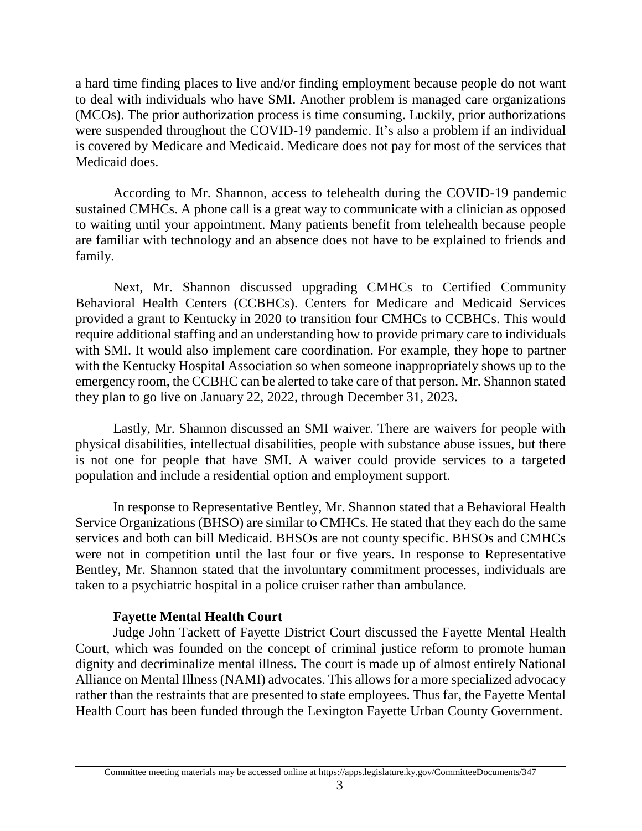a hard time finding places to live and/or finding employment because people do not want to deal with individuals who have SMI. Another problem is managed care organizations (MCOs). The prior authorization process is time consuming. Luckily, prior authorizations were suspended throughout the COVID-19 pandemic. It's also a problem if an individual is covered by Medicare and Medicaid. Medicare does not pay for most of the services that Medicaid does.

According to Mr. Shannon, access to telehealth during the COVID-19 pandemic sustained CMHCs. A phone call is a great way to communicate with a clinician as opposed to waiting until your appointment. Many patients benefit from telehealth because people are familiar with technology and an absence does not have to be explained to friends and family.

Next, Mr. Shannon discussed upgrading CMHCs to Certified Community Behavioral Health Centers (CCBHCs). Centers for Medicare and Medicaid Services provided a grant to Kentucky in 2020 to transition four CMHCs to CCBHCs. This would require additional staffing and an understanding how to provide primary care to individuals with SMI. It would also implement care coordination. For example, they hope to partner with the Kentucky Hospital Association so when someone inappropriately shows up to the emergency room, the CCBHC can be alerted to take care of that person. Mr. Shannon stated they plan to go live on January 22, 2022, through December 31, 2023.

Lastly, Mr. Shannon discussed an SMI waiver. There are waivers for people with physical disabilities, intellectual disabilities, people with substance abuse issues, but there is not one for people that have SMI. A waiver could provide services to a targeted population and include a residential option and employment support.

In response to Representative Bentley, Mr. Shannon stated that a Behavioral Health Service Organizations (BHSO) are similar to CMHCs. He stated that they each do the same services and both can bill Medicaid. BHSOs are not county specific. BHSOs and CMHCs were not in competition until the last four or five years. In response to Representative Bentley, Mr. Shannon stated that the involuntary commitment processes, individuals are taken to a psychiatric hospital in a police cruiser rather than ambulance.

# **Fayette Mental Health Court**

Judge John Tackett of Fayette District Court discussed the Fayette Mental Health Court, which was founded on the concept of criminal justice reform to promote human dignity and decriminalize mental illness. The court is made up of almost entirely National Alliance on Mental Illness (NAMI) advocates. This allows for a more specialized advocacy rather than the restraints that are presented to state employees. Thus far, the Fayette Mental Health Court has been funded through the Lexington Fayette Urban County Government.

Committee meeting materials may be accessed online at https://apps.legislature.ky.gov/CommitteeDocuments/347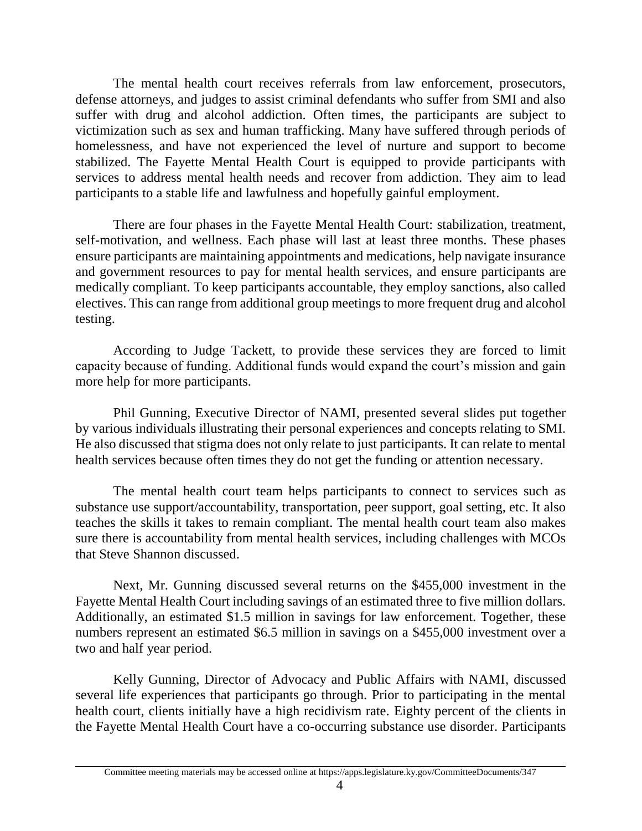The mental health court receives referrals from law enforcement, prosecutors, defense attorneys, and judges to assist criminal defendants who suffer from SMI and also suffer with drug and alcohol addiction. Often times, the participants are subject to victimization such as sex and human trafficking. Many have suffered through periods of homelessness, and have not experienced the level of nurture and support to become stabilized. The Fayette Mental Health Court is equipped to provide participants with services to address mental health needs and recover from addiction. They aim to lead participants to a stable life and lawfulness and hopefully gainful employment.

There are four phases in the Fayette Mental Health Court: stabilization, treatment, self-motivation, and wellness. Each phase will last at least three months. These phases ensure participants are maintaining appointments and medications, help navigate insurance and government resources to pay for mental health services, and ensure participants are medically compliant. To keep participants accountable, they employ sanctions, also called electives. This can range from additional group meetings to more frequent drug and alcohol testing.

According to Judge Tackett, to provide these services they are forced to limit capacity because of funding. Additional funds would expand the court's mission and gain more help for more participants.

Phil Gunning, Executive Director of NAMI, presented several slides put together by various individuals illustrating their personal experiences and concepts relating to SMI. He also discussed that stigma does not only relate to just participants. It can relate to mental health services because often times they do not get the funding or attention necessary.

The mental health court team helps participants to connect to services such as substance use support/accountability, transportation, peer support, goal setting, etc. It also teaches the skills it takes to remain compliant. The mental health court team also makes sure there is accountability from mental health services, including challenges with MCOs that Steve Shannon discussed.

Next, Mr. Gunning discussed several returns on the \$455,000 investment in the Fayette Mental Health Court including savings of an estimated three to five million dollars. Additionally, an estimated \$1.5 million in savings for law enforcement. Together, these numbers represent an estimated \$6.5 million in savings on a \$455,000 investment over a two and half year period.

Kelly Gunning, Director of Advocacy and Public Affairs with NAMI, discussed several life experiences that participants go through. Prior to participating in the mental health court, clients initially have a high recidivism rate. Eighty percent of the clients in the Fayette Mental Health Court have a co-occurring substance use disorder. Participants